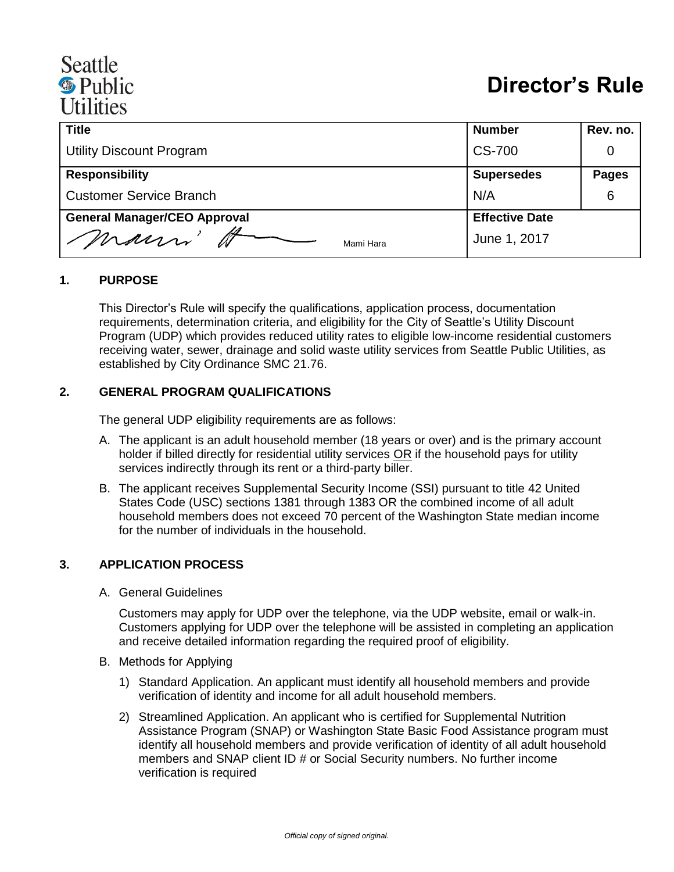# Seattle <sup><sup>®</sup> Public</sup> **Utilities**

| <b>Title</b>                        | <b>Number</b>         | Rev. no.     |
|-------------------------------------|-----------------------|--------------|
| Utility Discount Program            | <b>CS-700</b>         |              |
| <b>Responsibility</b>               | <b>Supersedes</b>     | <b>Pages</b> |
| <b>Customer Service Branch</b>      | N/A                   | 6            |
| <b>General Manager/CEO Approval</b> | <b>Effective Date</b> |              |
| mauri'<br>Mami Hara                 | June 1, 2017          |              |

#### **1. PURPOSE**

This Director's Rule will specify the qualifications, application process, documentation requirements, determination criteria, and eligibility for the City of Seattle's Utility Discount Program (UDP) which provides reduced utility rates to eligible low-income residential customers receiving water, sewer, drainage and solid waste utility services from Seattle Public Utilities, as established by City Ordinance SMC 21.76.

#### **2. GENERAL PROGRAM QUALIFICATIONS**

The general UDP eligibility requirements are as follows:

- A. The applicant is an adult household member (18 years or over) and is the primary account holder if billed directly for residential utility services OR if the household pays for utility services indirectly through its rent or a third-party biller.
- B. The applicant receives Supplemental Security Income (SSI) pursuant to title 42 United States Code (USC) sections 1381 through 1383 OR the combined income of all adult household members does not exceed 70 percent of the Washington State median income for the number of individuals in the household.

#### **3. APPLICATION PROCESS**

A. General Guidelines

Customers may apply for UDP over the telephone, via the UDP website, email or walk-in. Customers applying for UDP over the telephone will be assisted in completing an application and receive detailed information regarding the required proof of eligibility.

- B. Methods for Applying
	- 1) Standard Application. An applicant must identify all household members and provide verification of identity and income for all adult household members.
	- 2) Streamlined Application. An applicant who is certified for Supplemental Nutrition Assistance Program (SNAP) or Washington State Basic Food Assistance program must identify all household members and provide verification of identity of all adult household members and SNAP client ID # or Social Security numbers. No further income verification is required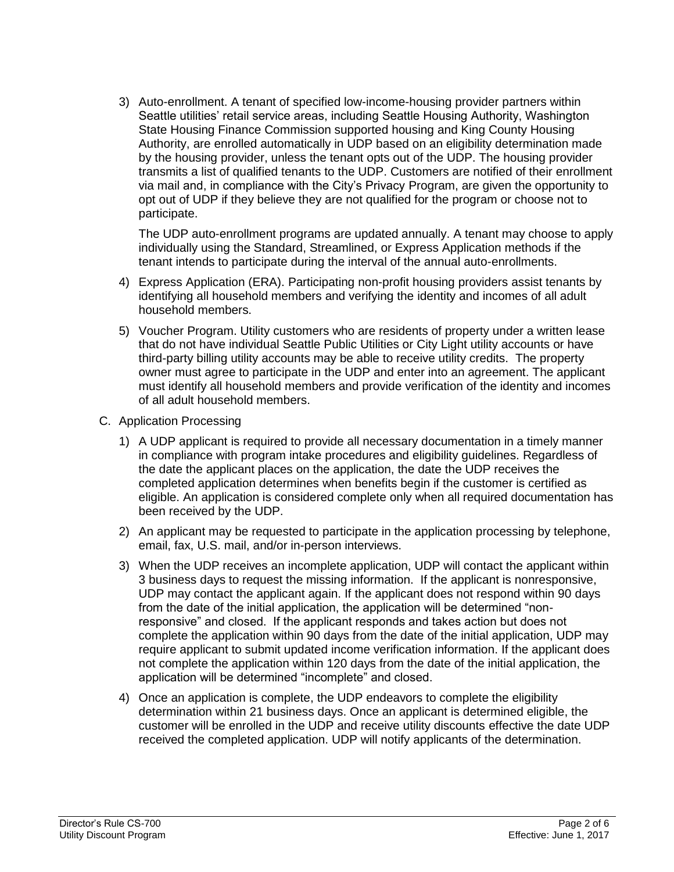3) Auto-enrollment. A tenant of specified low-income-housing provider partners within Seattle utilities' retail service areas, including Seattle Housing Authority, Washington State Housing Finance Commission supported housing and King County Housing Authority, are enrolled automatically in UDP based on an eligibility determination made by the housing provider, unless the tenant opts out of the UDP. The housing provider transmits a list of qualified tenants to the UDP. Customers are notified of their enrollment via mail and, in compliance with the City's Privacy Program, are given the opportunity to opt out of UDP if they believe they are not qualified for the program or choose not to participate.

The UDP auto-enrollment programs are updated annually. A tenant may choose to apply individually using the Standard, Streamlined, or Express Application methods if the tenant intends to participate during the interval of the annual auto-enrollments.

- 4) Express Application (ERA). Participating non-profit housing providers assist tenants by identifying all household members and verifying the identity and incomes of all adult household members.
- 5) Voucher Program. Utility customers who are residents of property under a written lease that do not have individual Seattle Public Utilities or City Light utility accounts or have third-party billing utility accounts may be able to receive utility credits. The property owner must agree to participate in the UDP and enter into an agreement. The applicant must identify all household members and provide verification of the identity and incomes of all adult household members.
- C. Application Processing
	- 1) A UDP applicant is required to provide all necessary documentation in a timely manner in compliance with program intake procedures and eligibility guidelines. Regardless of the date the applicant places on the application, the date the UDP receives the completed application determines when benefits begin if the customer is certified as eligible. An application is considered complete only when all required documentation has been received by the UDP.
	- 2) An applicant may be requested to participate in the application processing by telephone, email, fax, U.S. mail, and/or in-person interviews.
	- 3) When the UDP receives an incomplete application, UDP will contact the applicant within 3 business days to request the missing information. If the applicant is nonresponsive, UDP may contact the applicant again. If the applicant does not respond within 90 days from the date of the initial application, the application will be determined "nonresponsive" and closed. If the applicant responds and takes action but does not complete the application within 90 days from the date of the initial application, UDP may require applicant to submit updated income verification information. If the applicant does not complete the application within 120 days from the date of the initial application, the application will be determined "incomplete" and closed.
	- 4) Once an application is complete, the UDP endeavors to complete the eligibility determination within 21 business days. Once an applicant is determined eligible, the customer will be enrolled in the UDP and receive utility discounts effective the date UDP received the completed application. UDP will notify applicants of the determination.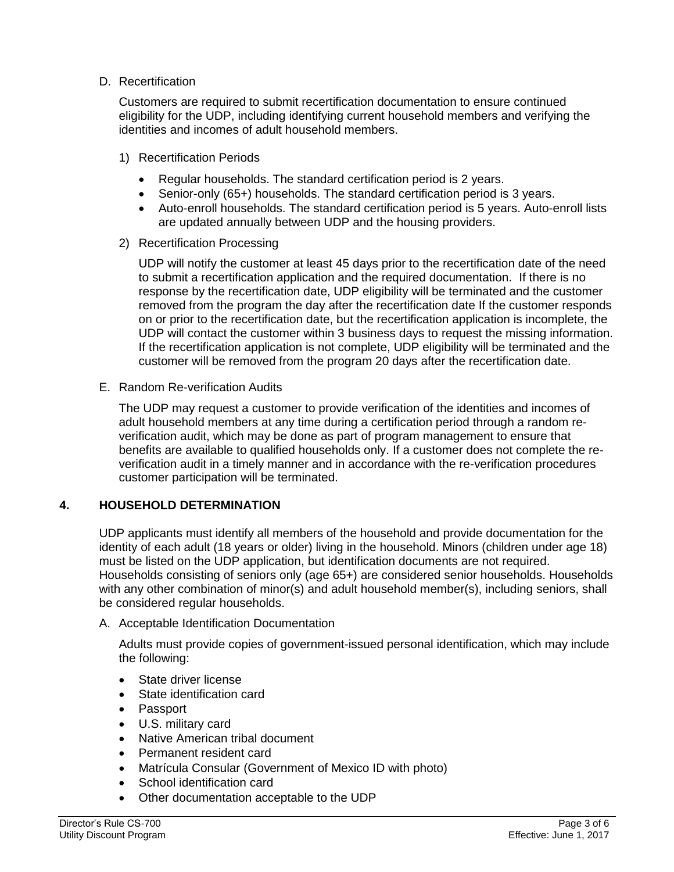#### D. Recertification

Customers are required to submit recertification documentation to ensure continued eligibility for the UDP, including identifying current household members and verifying the identities and incomes of adult household members.

- 1) Recertification Periods
	- Regular households. The standard certification period is 2 years.
	- Senior-only (65+) households. The standard certification period is 3 years.
	- Auto-enroll households. The standard certification period is 5 years. Auto-enroll lists are updated annually between UDP and the housing providers.
- 2) Recertification Processing

UDP will notify the customer at least 45 days prior to the recertification date of the need to submit a recertification application and the required documentation. If there is no response by the recertification date, UDP eligibility will be terminated and the customer removed from the program the day after the recertification date If the customer responds on or prior to the recertification date, but the recertification application is incomplete, the UDP will contact the customer within 3 business days to request the missing information. If the recertification application is not complete, UDP eligibility will be terminated and the customer will be removed from the program 20 days after the recertification date.

E. Random Re-verification Audits

The UDP may request a customer to provide verification of the identities and incomes of adult household members at any time during a certification period through a random reverification audit, which may be done as part of program management to ensure that benefits are available to qualified households only. If a customer does not complete the reverification audit in a timely manner and in accordance with the re-verification procedures customer participation will be terminated.

## **4. HOUSEHOLD DETERMINATION**

UDP applicants must identify all members of the household and provide documentation for the identity of each adult (18 years or older) living in the household. Minors (children under age 18) must be listed on the UDP application, but identification documents are not required. Households consisting of seniors only (age 65+) are considered senior households. Households with any other combination of minor(s) and adult household member(s), including seniors, shall be considered regular households.

A. Acceptable Identification Documentation

Adults must provide copies of government-issued personal identification, which may include the following:

- State driver license
- State identification card
- Passport
- U.S. military card
- Native American tribal document
- Permanent resident card
- Matrícula Consular (Government of Mexico ID with photo)
- School identification card
- Other documentation acceptable to the UDP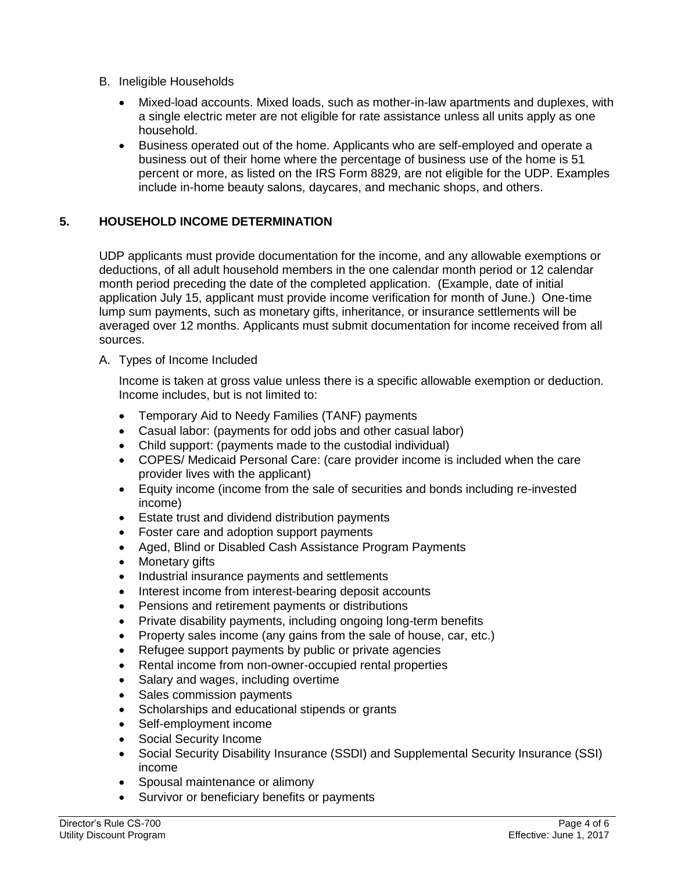- B. Ineligible Households
	- Mixed-load accounts. Mixed loads, such as mother-in-law apartments and duplexes, with a single electric meter are not eligible for rate assistance unless all units apply as one household.
	- Business operated out of the home. Applicants who are self-employed and operate a business out of their home where the percentage of business use of the home is 51 percent or more, as listed on the IRS Form 8829, are not eligible for the UDP. Examples include in-home beauty salons, daycares, and mechanic shops, and others.

#### **5. HOUSEHOLD INCOME DETERMINATION**

UDP applicants must provide documentation for the income, and any allowable exemptions or deductions, of all adult household members in the one calendar month period or 12 calendar month period preceding the date of the completed application. (Example, date of initial application July 15, applicant must provide income verification for month of June.) One-time lump sum payments, such as monetary gifts, inheritance, or insurance settlements will be averaged over 12 months. Applicants must submit documentation for income received from all sources.

A. Types of Income Included

Income is taken at gross value unless there is a specific allowable exemption or deduction. Income includes, but is not limited to:

- Temporary Aid to Needy Families (TANF) payments
- Casual labor: (payments for odd jobs and other casual labor)
- Child support: (payments made to the custodial individual)
- COPES/ Medicaid Personal Care: (care provider income is included when the care provider lives with the applicant)
- Equity income (income from the sale of securities and bonds including re-invested income)
- Estate trust and dividend distribution payments
- Foster care and adoption support payments
- Aged, Blind or Disabled Cash Assistance Program Payments
- Monetary gifts
- Industrial insurance payments and settlements
- Interest income from interest-bearing deposit accounts
- Pensions and retirement payments or distributions
- Private disability payments, including ongoing long-term benefits
- Property sales income (any gains from the sale of house, car, etc.)
- Refugee support payments by public or private agencies
- Rental income from non-owner-occupied rental properties
- Salary and wages, including overtime
- Sales commission payments
- Scholarships and educational stipends or grants
- Self-employment income
- Social Security Income
- Social Security Disability Insurance (SSDI) and Supplemental Security Insurance (SSI) income
- Spousal maintenance or alimony
- Survivor or beneficiary benefits or payments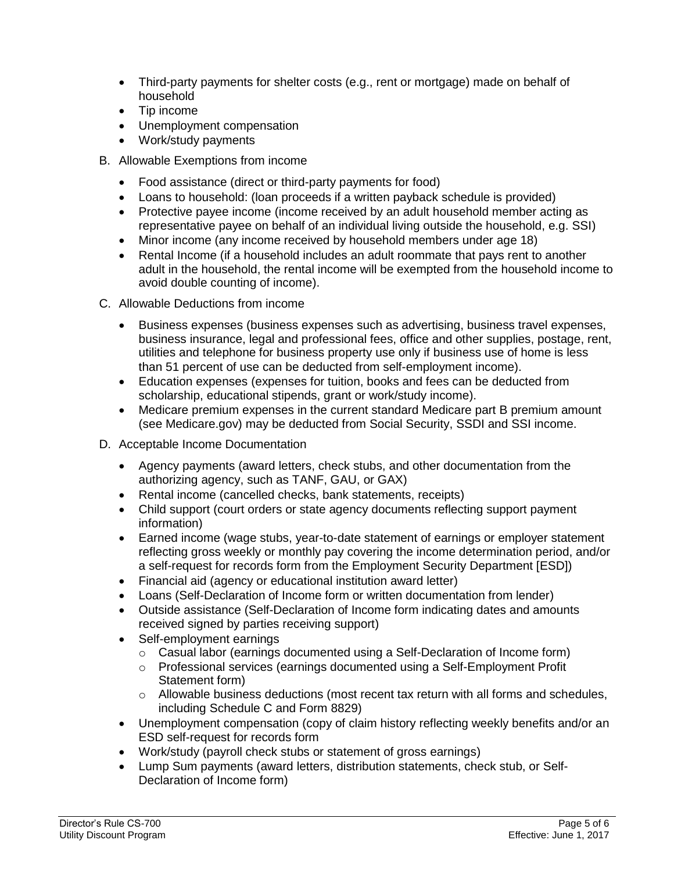- Third-party payments for shelter costs (e.g., rent or mortgage) made on behalf of household
- Tip income
- Unemployment compensation
- Work/study payments
- B. Allowable Exemptions from income
	- Food assistance (direct or third-party payments for food)
	- Loans to household: (loan proceeds if a written payback schedule is provided)
	- Protective payee income (income received by an adult household member acting as representative payee on behalf of an individual living outside the household, e.g. SSI)
	- Minor income (any income received by household members under age 18)
	- Rental Income (if a household includes an adult roommate that pays rent to another adult in the household, the rental income will be exempted from the household income to avoid double counting of income).
- C. Allowable Deductions from income
	- Business expenses (business expenses such as advertising, business travel expenses, business insurance, legal and professional fees, office and other supplies, postage, rent, utilities and telephone for business property use only if business use of home is less than 51 percent of use can be deducted from self-employment income).
	- Education expenses (expenses for tuition, books and fees can be deducted from scholarship, educational stipends, grant or work/study income).
	- Medicare premium expenses in the current standard Medicare part B premium amount (see Medicare.gov) may be deducted from Social Security, SSDI and SSI income.
- D. Acceptable Income Documentation
	- Agency payments (award letters, check stubs, and other documentation from the authorizing agency, such as TANF, GAU, or GAX)
	- Rental income (cancelled checks, bank statements, receipts)
	- Child support (court orders or state agency documents reflecting support payment information)
	- Earned income (wage stubs, year-to-date statement of earnings or employer statement reflecting gross weekly or monthly pay covering the income determination period, and/or a self-request for records form from the Employment Security Department [ESD])
	- Financial aid (agency or educational institution award letter)
	- Loans (Self-Declaration of Income form or written documentation from lender)
	- Outside assistance (Self-Declaration of Income form indicating dates and amounts received signed by parties receiving support)
	- Self-employment earnings
		- $\circ$  Casual labor (earnings documented using a Self-Declaration of Income form)
		- o Professional services (earnings documented using a Self-Employment Profit Statement form)
		- o Allowable business deductions (most recent tax return with all forms and schedules, including Schedule C and Form 8829)
	- Unemployment compensation (copy of claim history reflecting weekly benefits and/or an ESD self-request for records form
	- Work/study (payroll check stubs or statement of gross earnings)
	- Lump Sum payments (award letters, distribution statements, check stub, or Self-Declaration of Income form)